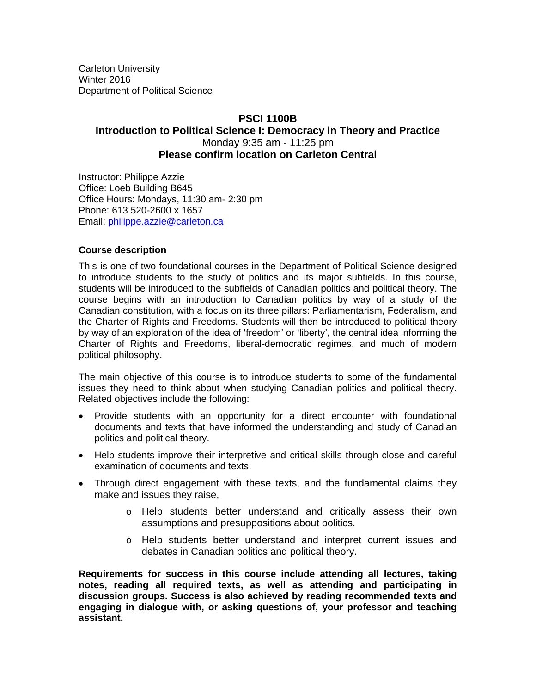Carleton University Winter 2016 Department of Political Science

# **PSCI 1100B Introduction to Political Science I: Democracy in Theory and Practice** Monday 9:35 am - 11:25 pm **Please confirm location on Carleton Central**

Instructor: Philippe Azzie Office: Loeb Building B645 Office Hours: Mondays, 11:30 am- 2:30 pm Phone: 613 520-2600 x 1657 Email: philippe.azzie@carleton.ca

## **Course description**

This is one of two foundational courses in the Department of Political Science designed to introduce students to the study of politics and its major subfields. In this course, students will be introduced to the subfields of Canadian politics and political theory. The course begins with an introduction to Canadian politics by way of a study of the Canadian constitution, with a focus on its three pillars: Parliamentarism, Federalism, and the Charter of Rights and Freedoms. Students will then be introduced to political theory by way of an exploration of the idea of 'freedom' or 'liberty', the central idea informing the Charter of Rights and Freedoms, liberal-democratic regimes, and much of modern political philosophy.

The main objective of this course is to introduce students to some of the fundamental issues they need to think about when studying Canadian politics and political theory. Related objectives include the following:

- Provide students with an opportunity for a direct encounter with foundational documents and texts that have informed the understanding and study of Canadian politics and political theory.
- Help students improve their interpretive and critical skills through close and careful examination of documents and texts.
- Through direct engagement with these texts, and the fundamental claims they make and issues they raise,
	- o Help students better understand and critically assess their own assumptions and presuppositions about politics.
	- o Help students better understand and interpret current issues and debates in Canadian politics and political theory.

**Requirements for success in this course include attending all lectures, taking notes, reading all required texts, as well as attending and participating in discussion groups. Success is also achieved by reading recommended texts and engaging in dialogue with, or asking questions of, your professor and teaching assistant.**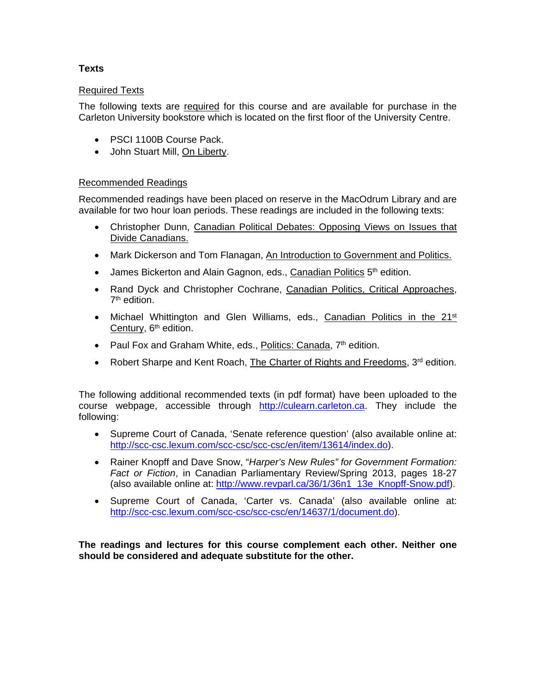# **Texts**

# Required Texts

The following texts are required for this course and are available for purchase in the Carleton University bookstore which is located on the first floor of the University Centre.

- PSCI 1100B Course Pack.
- John Stuart Mill, On Liberty.

## Recommended Readings

Recommended readings have been placed on reserve in the MacOdrum Library and are available for two hour loan periods. These readings are included in the following texts:

- Christopher Dunn, Canadian Political Debates: Opposing Views on Issues that Divide Canadians.
- Mark Dickerson and Tom Flanagan, An Introduction to Government and Politics.
- $\bullet$  James Bickerton and Alain Gagnon, eds., Canadian Politics  $5<sup>th</sup>$  edition.
- Rand Dyck and Christopher Cochrane, Canadian Politics, Critical Approaches, 7<sup>th</sup> edition.
- Michael Whittington and Glen Williams, eds., Canadian Politics in the 21<sup>st</sup> Century, 6<sup>th</sup> edition.
- Paul Fox and Graham White, eds., Politics: Canada,  $7<sup>th</sup>$  edition.
- Robert Sharpe and Kent Roach, The Charter of Rights and Freedoms,  $3^{rd}$  edition.

The following additional recommended texts (in pdf format) have been uploaded to the course webpage, accessible through http://culearn.carleton.ca. They include the following:

- Supreme Court of Canada, 'Senate reference question' (also available online at: http://scc-csc.lexum.com/scc-csc/scc-csc/en/item/13614/index.do).
- Rainer Knopff and Dave Snow, "*Harper's New Rules" for Government Formation: Fact or Fiction*, in Canadian Parliamentary Review/Spring 2013, pages 18-27 (also available online at: http://www.revparl.ca/36/1/36n1\_13e\_Knopff-Snow.pdf).
- Supreme Court of Canada, 'Carter vs. Canada' (also available online at: http://scc-csc.lexum.com/scc-csc/scc-csc/en/14637/1/document.do).

**The readings and lectures for this course complement each other. Neither one should be considered and adequate substitute for the other.**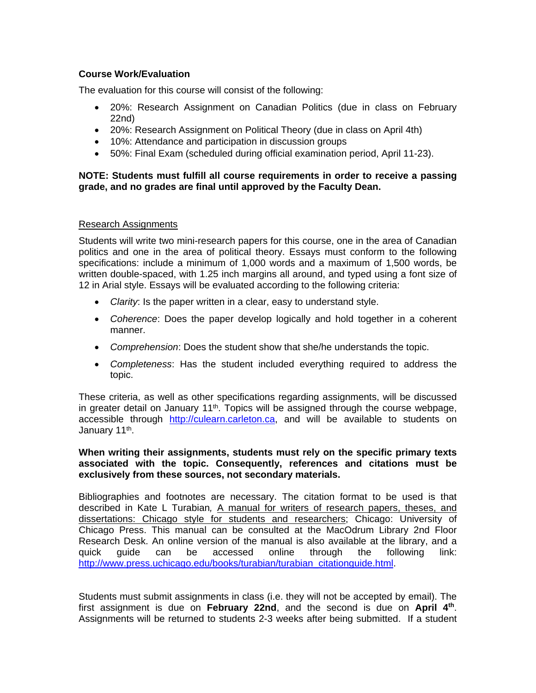## **Course Work/Evaluation**

The evaluation for this course will consist of the following:

- 20%: Research Assignment on Canadian Politics (due in class on February 22nd)
- 20%: Research Assignment on Political Theory (due in class on April 4th)
- 10%: Attendance and participation in discussion groups
- 50%: Final Exam (scheduled during official examination period, April 11-23).

## **NOTE: Students must fulfill all course requirements in order to receive a passing grade, and no grades are final until approved by the Faculty Dean.**

## Research Assignments

Students will write two mini-research papers for this course, one in the area of Canadian politics and one in the area of political theory. Essays must conform to the following specifications: include a minimum of 1,000 words and a maximum of 1,500 words, be written double-spaced, with 1.25 inch margins all around, and typed using a font size of 12 in Arial style. Essays will be evaluated according to the following criteria:

- *Clarity*: Is the paper written in a clear, easy to understand style.
- *Coherence*: Does the paper develop logically and hold together in a coherent manner.
- *Comprehension*: Does the student show that she/he understands the topic.
- *Completeness*: Has the student included everything required to address the topic.

These criteria, as well as other specifications regarding assignments, will be discussed in greater detail on January  $11<sup>th</sup>$ . Topics will be assigned through the course webpage, accessible through http://culearn.carleton.ca, and will be available to students on January 11<sup>th</sup>.

## **When writing their assignments, students must rely on the specific primary texts associated with the topic. Consequently, references and citations must be exclusively from these sources, not secondary materials.**

Bibliographies and footnotes are necessary. The citation format to be used is that described in Kate L Turabian, A manual for writers of research papers, theses, and dissertations: Chicago style for students and researchers; Chicago: University of Chicago Press. This manual can be consulted at the MacOdrum Library 2nd Floor Research Desk. An online version of the manual is also available at the library, and a quick guide can be accessed online through the following link: http://www.press.uchicago.edu/books/turabian/turabian\_citationguide.html.

Students must submit assignments in class (i.e. they will not be accepted by email). The first assignment is due on **February 22nd**, and the second is due on **April 4th**. Assignments will be returned to students 2-3 weeks after being submitted. If a student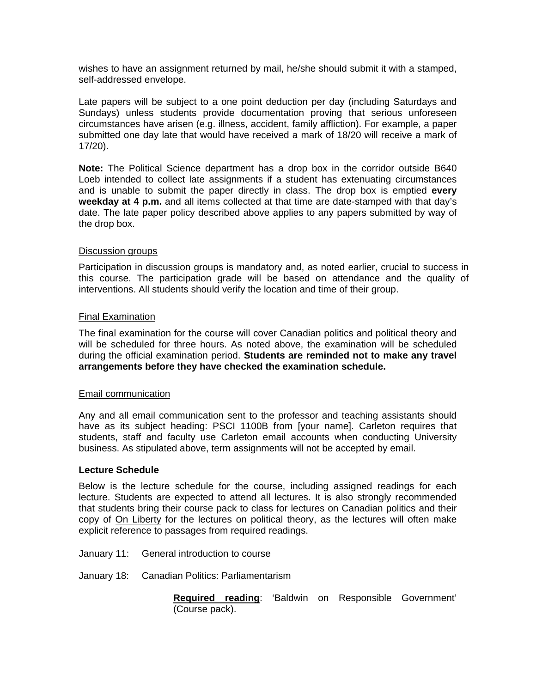wishes to have an assignment returned by mail, he/she should submit it with a stamped, self-addressed envelope.

Late papers will be subject to a one point deduction per day (including Saturdays and Sundays) unless students provide documentation proving that serious unforeseen circumstances have arisen (e.g. illness, accident, family affliction). For example, a paper submitted one day late that would have received a mark of 18/20 will receive a mark of 17/20).

**Note:** The Political Science department has a drop box in the corridor outside B640 Loeb intended to collect late assignments if a student has extenuating circumstances and is unable to submit the paper directly in class. The drop box is emptied **every weekday at 4 p.m.** and all items collected at that time are date-stamped with that day's date. The late paper policy described above applies to any papers submitted by way of the drop box.

#### Discussion groups

Participation in discussion groups is mandatory and, as noted earlier, crucial to success in this course. The participation grade will be based on attendance and the quality of interventions. All students should verify the location and time of their group.

#### Final Examination

The final examination for the course will cover Canadian politics and political theory and will be scheduled for three hours. As noted above, the examination will be scheduled during the official examination period. **Students are reminded not to make any travel arrangements before they have checked the examination schedule.** 

#### Email communication

Any and all email communication sent to the professor and teaching assistants should have as its subject heading: PSCI 1100B from [your name]. Carleton requires that students, staff and faculty use Carleton email accounts when conducting University business. As stipulated above, term assignments will not be accepted by email.

#### **Lecture Schedule**

Below is the lecture schedule for the course, including assigned readings for each lecture. Students are expected to attend all lectures. It is also strongly recommended that students bring their course pack to class for lectures on Canadian politics and their copy of On Liberty for the lectures on political theory, as the lectures will often make explicit reference to passages from required readings.

- January 11: General introduction to course
- January 18: Canadian Politics: Parliamentarism

**Required reading**: 'Baldwin on Responsible Government' (Course pack).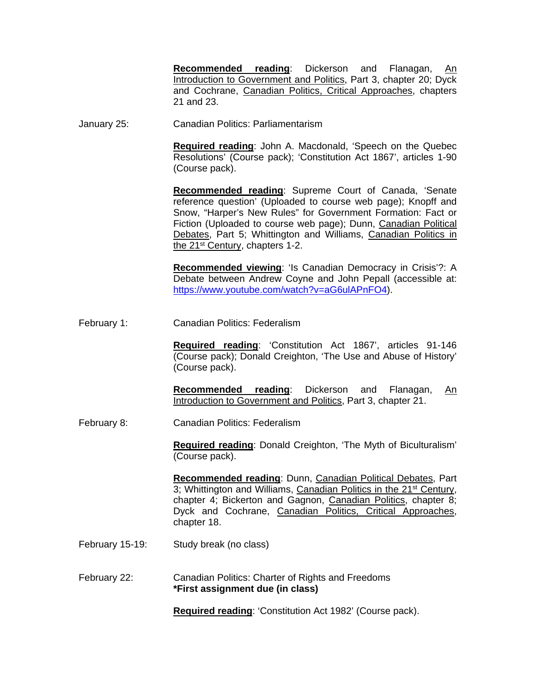**Recommended reading:** Dickerson and Flanagan, Introduction to Government and Politics, Part 3, chapter 20; Dyck and Cochrane, Canadian Politics, Critical Approaches, chapters 21 and 23.

January 25: Canadian Politics: Parliamentarism

**Required reading**: John A. Macdonald, 'Speech on the Quebec Resolutions' (Course pack); 'Constitution Act 1867', articles 1-90 (Course pack).

**Recommended reading**: Supreme Court of Canada, 'Senate reference question' (Uploaded to course web page); Knopff and Snow, "Harper's New Rules" for Government Formation: Fact or Fiction (Uploaded to course web page); Dunn, Canadian Political Debates, Part 5; Whittington and Williams, Canadian Politics in the 21<sup>st</sup> Century, chapters 1-2.

**Recommended viewing**: 'Is Canadian Democracy in Crisis'?: A Debate between Andrew Coyne and John Pepall (accessible at: https://www.youtube.com/watch?v=aG6ulAPnFO4).

February 1: Canadian Politics: Federalism

**Required reading**: 'Constitution Act 1867', articles 91-146 (Course pack); Donald Creighton, 'The Use and Abuse of History' (Course pack).

**Recommended reading**: Dickerson and Flanagan, An Introduction to Government and Politics, Part 3, chapter 21.

February 8: Canadian Politics: Federalism

**Required reading**: Donald Creighton, 'The Myth of Biculturalism' (Course pack).

**Recommended reading**: Dunn, Canadian Political Debates, Part 3; Whittington and Williams, Canadian Politics in the 21st Century, chapter 4; Bickerton and Gagnon, Canadian Politics, chapter 8; Dyck and Cochrane, Canadian Politics, Critical Approaches, chapter 18.

- February 15-19: Study break (no class)
- February 22: Canadian Politics: Charter of Rights and Freedoms **\*First assignment due (in class)**

**Required reading**: 'Constitution Act 1982' (Course pack).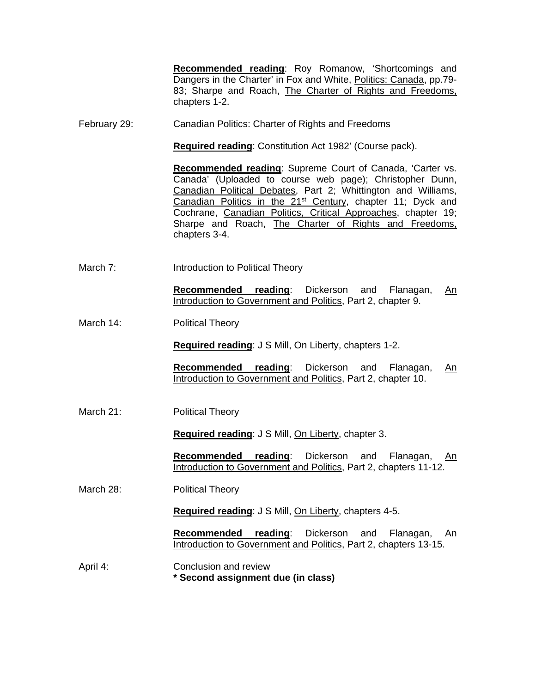**Recommended reading**: Roy Romanow, 'Shortcomings and Dangers in the Charter' in Fox and White, Politics: Canada, pp.79- 83; Sharpe and Roach, The Charter of Rights and Freedoms, chapters 1-2.

February 29: Canadian Politics: Charter of Rights and Freedoms

**Required reading**: Constitution Act 1982' (Course pack).

**Recommended reading**: Supreme Court of Canada, 'Carter vs. Canada' (Uploaded to course web page); Christopher Dunn, Canadian Political Debates, Part 2; Whittington and Williams, Canadian Politics in the 21<sup>st</sup> Century, chapter 11; Dyck and Cochrane, Canadian Politics, Critical Approaches, chapter 19; Sharpe and Roach, The Charter of Rights and Freedoms, chapters 3-4.

March 7: Introduction to Political Theory

**Recommended reading**: Dickerson and Flanagan, An Introduction to Government and Politics, Part 2, chapter 9.

March 14: Political Theory

**Required reading**: J S Mill, On Liberty, chapters 1-2.

**Recommended reading**: Dickerson and Flanagan, An Introduction to Government and Politics, Part 2, chapter 10.

March 21: Political Theory

**Required reading**: J S Mill, On Liberty, chapter 3.

**Recommended reading**: Dickerson and Flanagan, An Introduction to Government and Politics, Part 2, chapters 11-12.

March 28: Political Theory

**Required reading**: J S Mill, On Liberty, chapters 4-5.

**Recommended reading**: Dickerson and Flanagan, An Introduction to Government and Politics, Part 2, chapters 13-15.

April 4: Conclusion and review **\* Second assignment due (in class)**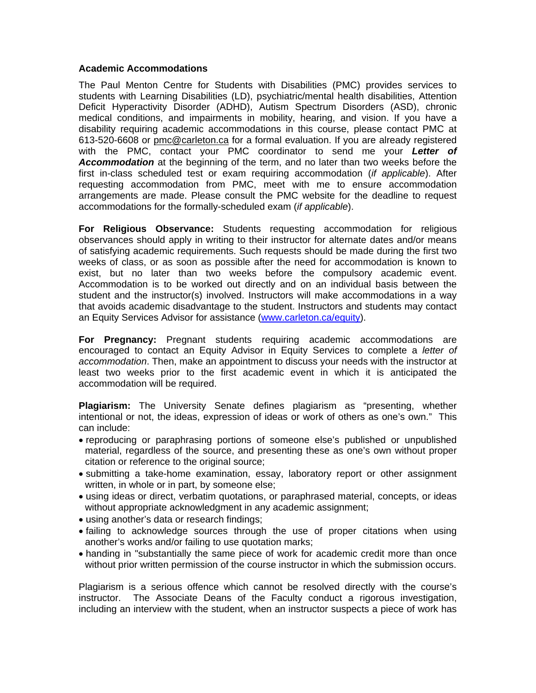#### **Academic Accommodations**

The Paul Menton Centre for Students with Disabilities (PMC) provides services to students with Learning Disabilities (LD), psychiatric/mental health disabilities, Attention Deficit Hyperactivity Disorder (ADHD), Autism Spectrum Disorders (ASD), chronic medical conditions, and impairments in mobility, hearing, and vision. If you have a disability requiring academic accommodations in this course, please contact PMC at 613-520-6608 or pmc@carleton.ca for a formal evaluation. If you are already registered with the PMC, contact your PMC coordinator to send me your *Letter of Accommodation* at the beginning of the term, and no later than two weeks before the first in-class scheduled test or exam requiring accommodation (*if applicable*). After requesting accommodation from PMC, meet with me to ensure accommodation arrangements are made. Please consult the PMC website for the deadline to request accommodations for the formally-scheduled exam (*if applicable*).

**For Religious Observance:** Students requesting accommodation for religious observances should apply in writing to their instructor for alternate dates and/or means of satisfying academic requirements. Such requests should be made during the first two weeks of class, or as soon as possible after the need for accommodation is known to exist, but no later than two weeks before the compulsory academic event. Accommodation is to be worked out directly and on an individual basis between the student and the instructor(s) involved. Instructors will make accommodations in a way that avoids academic disadvantage to the student. Instructors and students may contact an Equity Services Advisor for assistance (www.carleton.ca/equity).

**For Pregnancy:** Pregnant students requiring academic accommodations are encouraged to contact an Equity Advisor in Equity Services to complete a *letter of accommodation*. Then, make an appointment to discuss your needs with the instructor at least two weeks prior to the first academic event in which it is anticipated the accommodation will be required.

**Plagiarism:** The University Senate defines plagiarism as "presenting, whether intentional or not, the ideas, expression of ideas or work of others as one's own." This can include:

- reproducing or paraphrasing portions of someone else's published or unpublished material, regardless of the source, and presenting these as one's own without proper citation or reference to the original source;
- submitting a take-home examination, essay, laboratory report or other assignment written, in whole or in part, by someone else;
- using ideas or direct, verbatim quotations, or paraphrased material, concepts, or ideas without appropriate acknowledgment in any academic assignment;
- using another's data or research findings;
- failing to acknowledge sources through the use of proper citations when using another's works and/or failing to use quotation marks;
- handing in "substantially the same piece of work for academic credit more than once without prior written permission of the course instructor in which the submission occurs.

Plagiarism is a serious offence which cannot be resolved directly with the course's instructor. The Associate Deans of the Faculty conduct a rigorous investigation, including an interview with the student, when an instructor suspects a piece of work has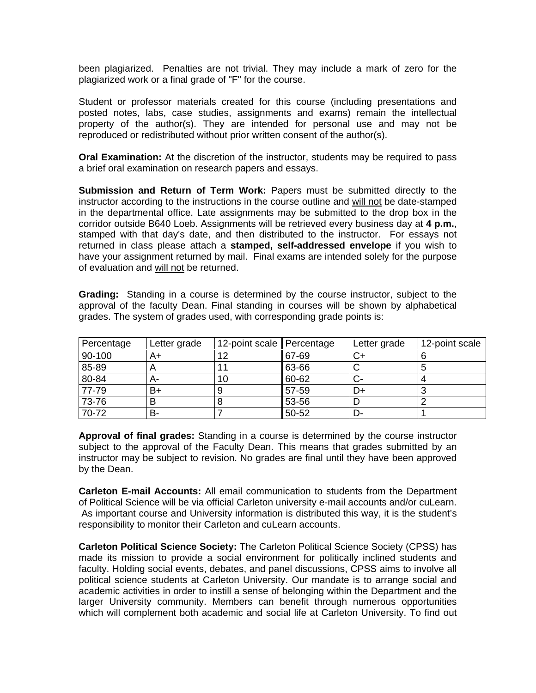been plagiarized. Penalties are not trivial. They may include a mark of zero for the plagiarized work or a final grade of "F" for the course.

Student or professor materials created for this course (including presentations and posted notes, labs, case studies, assignments and exams) remain the intellectual property of the author(s). They are intended for personal use and may not be reproduced or redistributed without prior written consent of the author(s).

**Oral Examination:** At the discretion of the instructor, students may be required to pass a brief oral examination on research papers and essays.

**Submission and Return of Term Work:** Papers must be submitted directly to the instructor according to the instructions in the course outline and will not be date-stamped in the departmental office. Late assignments may be submitted to the drop box in the corridor outside B640 Loeb. Assignments will be retrieved every business day at **4 p.m.**, stamped with that day's date, and then distributed to the instructor. For essays not returned in class please attach a **stamped, self-addressed envelope** if you wish to have your assignment returned by mail. Final exams are intended solely for the purpose of evaluation and will not be returned.

**Grading:** Standing in a course is determined by the course instructor, subject to the approval of the faculty Dean. Final standing in courses will be shown by alphabetical grades. The system of grades used, with corresponding grade points is:

| Percentage | Letter grade | 12-point scale Percentage |       | Letter grade | 12-point scale |
|------------|--------------|---------------------------|-------|--------------|----------------|
| 90-100     | A+           | 12                        | 67-69 | C+           |                |
| 85-89      |              |                           | 63-66 |              |                |
| 80-84      | А-           | 10                        | 60-62 | $\sim$       |                |
| 77-79      | B+           |                           | 57-59 | D+           |                |
| 73-76      |              |                           | 53-56 |              |                |
| 70-72      | В-           |                           | 50-52 |              |                |

**Approval of final grades:** Standing in a course is determined by the course instructor subject to the approval of the Faculty Dean. This means that grades submitted by an instructor may be subject to revision. No grades are final until they have been approved by the Dean.

**Carleton E-mail Accounts:** All email communication to students from the Department of Political Science will be via official Carleton university e-mail accounts and/or cuLearn. As important course and University information is distributed this way, it is the student's responsibility to monitor their Carleton and cuLearn accounts.

**Carleton Political Science Society:** The Carleton Political Science Society (CPSS) has made its mission to provide a social environment for politically inclined students and faculty. Holding social events, debates, and panel discussions, CPSS aims to involve all political science students at Carleton University. Our mandate is to arrange social and academic activities in order to instill a sense of belonging within the Department and the larger University community. Members can benefit through numerous opportunities which will complement both academic and social life at Carleton University. To find out